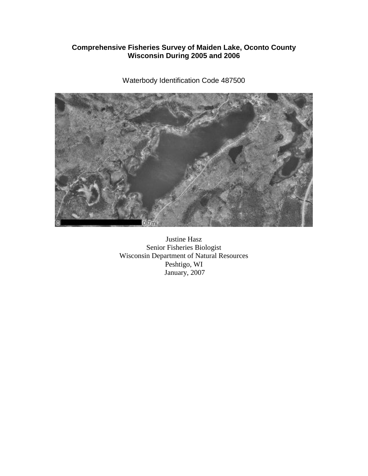## **Comprehensive Fisheries Survey of Maiden Lake, Oconto County Wisconsin During 2005 and 2006**

Waterbody Identification Code 487500

Justine Hasz Senior Fisheries Biologist Wisconsin Department of Natural Resources Peshtigo, WI January, 2007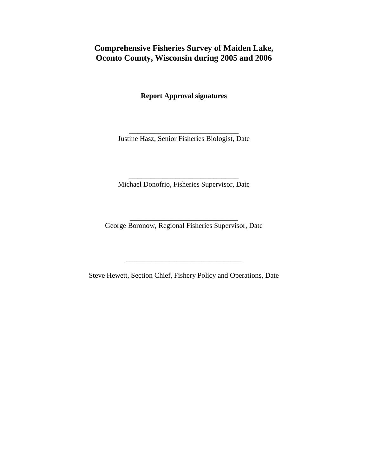# **Comprehensive Fisheries Survey of Maiden Lake, Oconto County, Wisconsin during 2005 and 2006**

**Report Approval signatures**

**\_\_\_\_\_\_\_\_\_\_\_\_\_\_\_\_\_\_\_\_\_\_\_\_\_\_** Justine Hasz, Senior Fisheries Biologist, Date

**\_\_\_\_\_\_\_\_\_\_\_\_\_\_\_\_\_\_\_\_\_\_\_\_\_\_** Michael Donofrio, Fisheries Supervisor, Date

\_\_\_\_\_\_\_\_\_\_\_\_\_\_\_\_\_\_\_\_\_\_\_\_\_\_\_\_\_\_ George Boronow, Regional Fisheries Supervisor, Date

Steve Hewett, Section Chief, Fishery Policy and Operations, Date

\_\_\_\_\_\_\_\_\_\_\_\_\_\_\_\_\_\_\_\_\_\_\_\_\_\_\_\_\_\_\_\_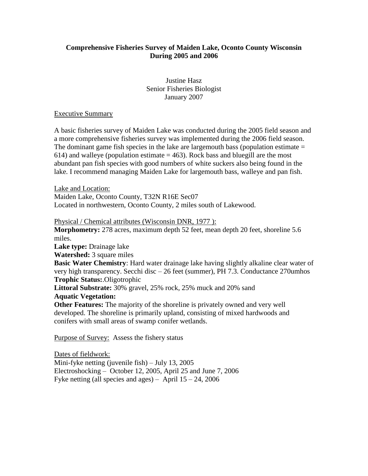### **Comprehensive Fisheries Survey of Maiden Lake, Oconto County Wisconsin During 2005 and 2006**

Justine Hasz Senior Fisheries Biologist January 2007

Executive Summary

A basic fisheries survey of Maiden Lake was conducted during the 2005 field season and a more comprehensive fisheries survey was implemented during the 2006 field season. The dominant game fish species in the lake are largemouth bass (population estimate  $=$ 614) and walleye (population estimate  $=$  463). Rock bass and bluegill are the most abundant pan fish species with good numbers of white suckers also being found in the lake. I recommend managing Maiden Lake for largemouth bass, walleye and pan fish.

Lake and Location:

Maiden Lake, Oconto County, T32N R16E Sec07

Located in northwestern, Oconto County, 2 miles south of Lakewood.

Physical / Chemical attributes (Wisconsin DNR, 1977 ):

**Morphometry:** 278 acres, maximum depth 52 feet, mean depth 20 feet, shoreline 5.6 miles. **Lake type:** Drainage lake

**Watershed:** 3 square miles

**Basic Water Chemistry**: Hard water drainage lake having slightly alkaline clear water of very high transparency. Secchi disc – 26 feet (summer), PH 7.3. Conductance 270umhos **Trophic Status:**.Oligotrophic

**Littoral Substrate:** 30% gravel, 25% rock, 25% muck and 20% sand

#### **Aquatic Vegetation:**

**Other Features:** The majority of the shoreline is privately owned and very well developed. The shoreline is primarily upland, consisting of mixed hardwoods and conifers with small areas of swamp conifer wetlands.

Purpose of Survey: Assess the fishery status

Dates of fieldwork: Mini-fyke netting (juvenile fish) – July 13, 2005 Electroshocking – October 12, 2005, April 25 and June 7, 2006 Fyke netting (all species and ages) – April  $15 - 24$ , 2006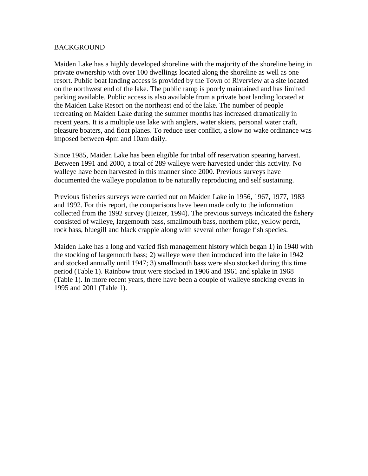#### BACKGROUND

Maiden Lake has a highly developed shoreline with the majority of the shoreline being in private ownership with over 100 dwellings located along the shoreline as well as one resort. Public boat landing access is provided by the Town of Riverview at a site located on the northwest end of the lake. The public ramp is poorly maintained and has limited parking available. Public access is also available from a private boat landing located at the Maiden Lake Resort on the northeast end of the lake. The number of people recreating on Maiden Lake during the summer months has increased dramatically in recent years. It is a multiple use lake with anglers, water skiers, personal water craft, pleasure boaters, and float planes. To reduce user conflict, a slow no wake ordinance was imposed between 4pm and 10am daily.

Since 1985, Maiden Lake has been eligible for tribal off reservation spearing harvest. Between 1991 and 2000, a total of 289 walleye were harvested under this activity. No walleye have been harvested in this manner since 2000. Previous surveys have documented the walleye population to be naturally reproducing and self sustaining.

Previous fisheries surveys were carried out on Maiden Lake in 1956, 1967, 1977, 1983 and 1992. For this report, the comparisons have been made only to the information collected from the 1992 survey (Heizer, 1994). The previous surveys indicated the fishery consisted of walleye, largemouth bass, smallmouth bass, northern pike, yellow perch, rock bass, bluegill and black crappie along with several other forage fish species.

Maiden Lake has a long and varied fish management history which began 1) in 1940 with the stocking of largemouth bass; 2) walleye were then introduced into the lake in 1942 and stocked annually until 1947; 3) smallmouth bass were also stocked during this time period (Table 1). Rainbow trout were stocked in 1906 and 1961 and splake in 1968 (Table 1). In more recent years, there have been a couple of walleye stocking events in 1995 and 2001 (Table 1).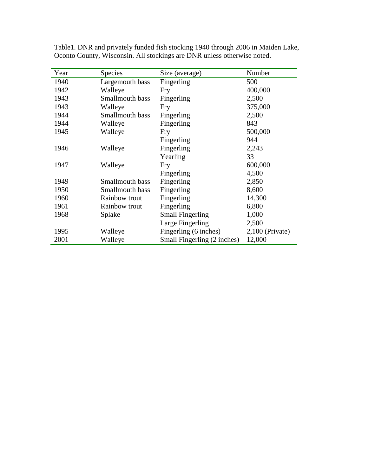| Year | Species         | Size (average)              | Number            |
|------|-----------------|-----------------------------|-------------------|
| 1940 | Largemouth bass | Fingerling                  | 500               |
| 1942 | Walleye         | Fry                         | 400,000           |
| 1943 | Smallmouth bass | Fingerling                  | 2,500             |
| 1943 | Walleye         | Fry                         | 375,000           |
| 1944 | Smallmouth bass | Fingerling                  | 2,500             |
| 1944 | Walleye         | Fingerling                  | 843               |
| 1945 | Walleye         | Fry                         | 500,000           |
|      |                 | Fingerling                  | 944               |
| 1946 | Walleye         | Fingerling                  | 2,243             |
|      |                 | Yearling                    | 33                |
| 1947 | Walleye         | Fry                         | 600,000           |
|      |                 | Fingerling                  | 4,500             |
| 1949 | Smallmouth bass | Fingerling                  | 2,850             |
| 1950 | Smallmouth bass | Fingerling                  | 8,600             |
| 1960 | Rainbow trout   | Fingerling                  | 14,300            |
| 1961 | Rainbow trout   | Fingerling                  | 6,800             |
| 1968 | Splake          | <b>Small Fingerling</b>     | 1,000             |
|      |                 | Large Fingerling            | 2,500             |
| 1995 | Walleye         | Fingerling (6 inches)       | $2,100$ (Private) |
| 2001 | Walleye         | Small Fingerling (2 inches) | 12,000            |

Table1. DNR and privately funded fish stocking 1940 through 2006 in Maiden Lake, Oconto County, Wisconsin. All stockings are DNR unless otherwise noted.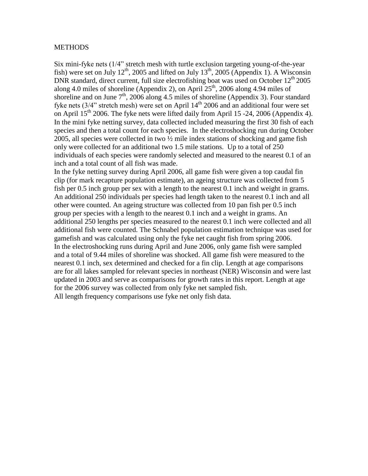#### **METHODS**

Six mini-fyke nets (1/4" stretch mesh with turtle exclusion targeting young-of-the-year fish) were set on July 12<sup>th</sup>, 2005 and lifted on July 13<sup>th</sup>, 2005 (Appendix 1). A Wisconsin DNR standard, direct current, full size electrofishing boat was used on October  $12<sup>th</sup> 2005$ along 4.0 miles of shoreline (Appendix 2), on April  $25<sup>th</sup>$ , 2006 along 4.94 miles of shoreline and on June  $7<sup>th</sup>$ , 2006 along 4.5 miles of shoreline (Appendix 3). Four standard fyke nets  $(3/4$ " stretch mesh) were set on April  $14<sup>th</sup>$  2006 and an additional four were set on April  $15^{th}$  2006. The fyke nets were lifted daily from April 15 -24, 2006 (Appendix 4). In the mini fyke netting survey, data collected included measuring the first 30 fish of each species and then a total count for each species. In the electroshocking run during October 2005, all species were collected in two ½ mile index stations of shocking and game fish only were collected for an additional two 1.5 mile stations. Up to a total of 250 individuals of each species were randomly selected and measured to the nearest 0.1 of an inch and a total count of all fish was made.

In the fyke netting survey during April 2006, all game fish were given a top caudal fin clip (for mark recapture population estimate), an ageing structure was collected from 5 fish per 0.5 inch group per sex with a length to the nearest 0.1 inch and weight in grams. An additional 250 individuals per species had length taken to the nearest 0.1 inch and all other were counted. An ageing structure was collected from 10 pan fish per 0.5 inch group per species with a length to the nearest 0.1 inch and a weight in grams. An additional 250 lengths per species measured to the nearest 0.1 inch were collected and all additional fish were counted. The Schnabel population estimation technique was used for gamefish and was calculated using only the fyke net caught fish from spring 2006. In the electroshocking runs during April and June 2006, only game fish were sampled and a total of 9.44 miles of shoreline was shocked. All game fish were measured to the nearest 0.1 inch, sex determined and checked for a fin clip. Length at age comparisons are for all lakes sampled for relevant species in northeast (NER) Wisconsin and were last updated in 2003 and serve as comparisons for growth rates in this report. Length at age for the 2006 survey was collected from only fyke net sampled fish. All length frequency comparisons use fyke net only fish data.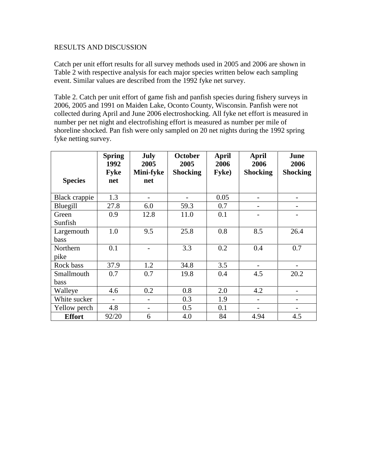#### RESULTS AND DISCUSSION

Catch per unit effort results for all survey methods used in 2005 and 2006 are shown in Table 2 with respective analysis for each major species written below each sampling event. Similar values are described from the 1992 fyke net survey.

Table 2. Catch per unit effort of game fish and panfish species during fishery surveys in 2006, 2005 and 1991 on Maiden Lake, Oconto County, Wisconsin. Panfish were not collected during April and June 2006 electroshocking. All fyke net effort is measured in number per net night and electrofishing effort is measured as number per mile of shoreline shocked. Pan fish were only sampled on 20 net nights during the 1992 spring fyke netting survey.

|                | <b>Spring</b><br>1992 | <b>July</b><br><b>October</b><br>2005<br>2005 |                 | April<br>2006 | April<br>2006            | June<br>2006    |
|----------------|-----------------------|-----------------------------------------------|-----------------|---------------|--------------------------|-----------------|
|                | <b>Fyke</b>           | Mini-fyke                                     | <b>Shocking</b> | Fyke)         | <b>Shocking</b>          | <b>Shocking</b> |
| <b>Species</b> | net                   | net                                           |                 |               |                          |                 |
| Black crappie  | 1.3                   |                                               |                 | 0.05          |                          |                 |
| Bluegill       | 27.8                  | 6.0                                           | 59.3            | 0.7           | -                        |                 |
| Green          | 0.9                   | 12.8                                          | 11.0            | 0.1           |                          |                 |
| Sunfish        |                       |                                               |                 |               |                          |                 |
| Largemouth     | 1.0                   | 9.5                                           | 25.8            | 0.8           | 8.5                      | 26.4            |
| bass           |                       |                                               |                 |               |                          |                 |
| Northern       | 0.1                   |                                               | 3.3             | 0.2           | 0.4                      | 0.7             |
| pike           |                       |                                               |                 |               |                          |                 |
| Rock bass      | 37.9                  | 1.2                                           | 34.8            | 3.5           |                          |                 |
| Smallmouth     | 0.7                   | 0.7                                           | 19.8            | 0.4           | 4.5                      | 20.2            |
| bass           |                       |                                               |                 |               |                          |                 |
| Walleye        | 4.6                   | 0.2                                           | 0.8             | 2.0           | 4.2                      |                 |
| White sucker   |                       |                                               | 0.3             | 1.9           |                          |                 |
| Yellow perch   | 4.8                   |                                               | 0.5             | 0.1           | $\overline{\phantom{0}}$ |                 |
| <b>Effort</b>  | 92/20                 | 6                                             | 4.0             | 84            | 4.94                     | 4.5             |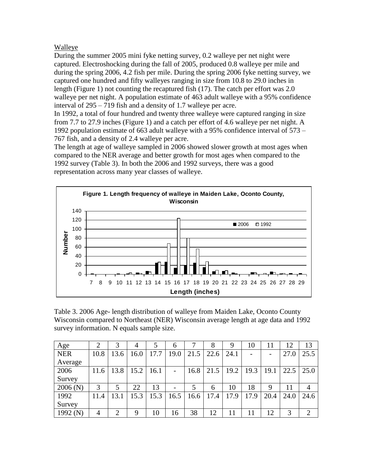## Walleye

During the summer 2005 mini fyke netting survey, 0.2 walleye per net night were captured. Electroshocking during the fall of 2005, produced 0.8 walleye per mile and during the spring 2006, 4.2 fish per mile. During the spring 2006 fyke netting survey, we captured one hundred and fifty walleyes ranging in size from 10.8 to 29.0 inches in length (Figure 1) not counting the recaptured fish (17). The catch per effort was 2.0 walleye per net night. A population estimate of 463 adult walleye with a 95% confidence interval of 295 – 719 fish and a density of 1.7 walleye per acre.

In 1992, a total of four hundred and twenty three walleye were captured ranging in size from 7.7 to 27.9 inches (Figure 1) and a catch per effort of 4.6 walleye per net night. A 1992 population estimate of 663 adult walleye with a 95% confidence interval of 573 – 767 fish, and a density of 2.4 walleye per acre.

The length at age of walleye sampled in 2006 showed slower growth at most ages when compared to the NER average and better growth for most ages when compared to the 1992 survey (Table 3). In both the 2006 and 1992 surveys, there was a good representation across many year classes of walleye.



Table 3. 2006 Age- length distribution of walleye from Maiden Lake, Oconto County Wisconsin compared to Northeast (NER) Wisconsin average length at age data and 1992 survey information. N equals sample size.

| Age        | $\overline{2}$ |               | 4    |      | 6    |      | 8    | 9    | 10   |      |      | 13             |
|------------|----------------|---------------|------|------|------|------|------|------|------|------|------|----------------|
| <b>NER</b> | 10.8           | 13.6          | 16.0 | 17.7 | 19.0 | 21.5 | 22.6 | 24.1 |      |      | 27.0 | 25.5           |
| Average    |                |               |      |      |      |      |      |      |      |      |      |                |
| 2006       | 11.6           | 13.8          | 15.2 | 16.1 |      | 16.8 | 21.5 | 19.2 | 19.3 | 19.1 | 22.5 | 25.0           |
| Survey     |                |               |      |      |      |      |      |      |      |      |      |                |
| 2006(N)    | 3              |               | 22   | 13   |      | 5    | 6    | 10   | 18   | 9    | 11   | 4              |
| 1992       | 11.4           | 13.1          | 15.3 | 15.3 | 16.5 | 16.6 | 17.4 | 17.9 | 17.9 | 20.4 | 24.0 | 24.6           |
| Survey     |                |               |      |      |      |      |      |      |      |      |      |                |
| 1992 $(N)$ | $\overline{4}$ | $\mathcal{D}$ | 9    | 10   | 16   | 38   | 12   | 11   | 11   | 12   | 3    | $\overline{2}$ |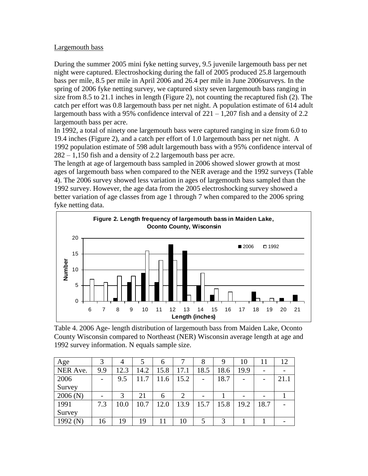### Largemouth bass

During the summer 2005 mini fyke netting survey, 9.5 juvenile largemouth bass per net night were captured. Electroshocking during the fall of 2005 produced 25.8 largemouth bass per mile, 8.5 per mile in April 2006 and 26.4 per mile in June 2006surveys. In the spring of 2006 fyke netting survey, we captured sixty seven largemouth bass ranging in size from 8.5 to 21.1 inches in length (Figure 2), not counting the recaptured fish (2). The catch per effort was 0.8 largemouth bass per net night. A population estimate of 614 adult largemouth bass with a 95% confidence interval of  $221 - 1,207$  fish and a density of 2.2 largemouth bass per acre.

In 1992, a total of ninety one largemouth bass were captured ranging in size from 6.0 to 19.4 inches (Figure 2), and a catch per effort of 1.0 largemouth bass per net night. A 1992 population estimate of 598 adult largemouth bass with a 95% confidence interval of 282 – 1,150 fish and a density of 2.2 largemouth bass per acre.

The length at age of largemouth bass sampled in 2006 showed slower growth at most ages of largemouth bass when compared to the NER average and the 1992 surveys (Table 4). The 2006 survey showed less variation in ages of largemouth bass sampled than the 1992 survey. However, the age data from the 2005 electroshocking survey showed a better variation of age classes from age 1 through 7 when compared to the 2006 spring fyke netting data.



Table 4. 2006 Age- length distribution of largemouth bass from Maiden Lake, Oconto County Wisconsin compared to Northeast (NER) Wisconsin average length at age and 1992 survey information. N equals sample size.

| Age        |     | 4    |      | 6    |      | 8    | 9    | 10   |      | 12   |
|------------|-----|------|------|------|------|------|------|------|------|------|
| NER Ave.   | 9.9 | 12.3 | 14.2 | 15.8 | 17.1 | 18.5 | 18.6 | 19.9 |      |      |
| 2006       |     | 9.5  | 11.7 | 11.6 | 15.2 |      | 18.7 |      |      | 21.1 |
| Survey     |     |      |      |      |      |      |      |      |      |      |
| 2006(N)    |     |      | 21   | 6    | 2    |      |      |      |      |      |
| 1991       | 7.3 | 10.0 | 10.7 | 12.0 | 13.9 | 15.7 | 15.8 | 19.2 | 18.7 |      |
| Survey     |     |      |      |      |      |      |      |      |      |      |
| 1992 $(N)$ | 16  | 19   | 19   |      | 10   |      | 3    |      |      |      |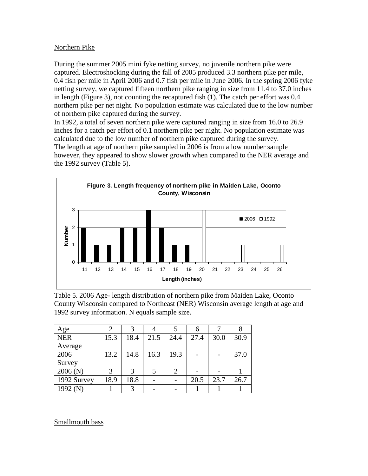### Northern Pike

During the summer 2005 mini fyke netting survey, no juvenile northern pike were captured. Electroshocking during the fall of 2005 produced 3.3 northern pike per mile, 0.4 fish per mile in April 2006 and 0.7 fish per mile in June 2006. In the spring 2006 fyke netting survey, we captured fifteen northern pike ranging in size from 11.4 to 37.0 inches in length (Figure 3), not counting the recaptured fish (1). The catch per effort was 0.4 northern pike per net night. No population estimate was calculated due to the low number of northern pike captured during the survey.

In 1992, a total of seven northern pike were captured ranging in size from 16.0 to 26.9 inches for a catch per effort of 0.1 northern pike per night. No population estimate was calculated due to the low number of northern pike captured during the survey. The length at age of northern pike sampled in 2006 is from a low number sample however, they appeared to show slower growth when compared to the NER average and the 1992 survey (Table 5).



Table 5. 2006 Age- length distribution of northern pike from Maiden Lake, Oconto County Wisconsin compared to Northeast (NER) Wisconsin average length at age and 1992 survey information. N equals sample size.

| Age         |      |      |      |      |      |      |      |
|-------------|------|------|------|------|------|------|------|
| <b>NER</b>  | 15.3 | 18.4 | 21.5 | 24.4 | 27.4 | 30.0 | 30.9 |
| Average     |      |      |      |      |      |      |      |
| 2006        | 13.2 | 14.8 | 16.3 | 19.3 |      |      | 37.0 |
| Survey      |      |      |      |      |      |      |      |
| 2006(N)     |      | 3    |      |      |      |      |      |
| 1992 Survey | 18.9 | 18.8 |      |      | 20.5 | 23.7 | 26.7 |
| 1992 (N)    |      | 3    |      |      |      |      |      |

Smallmouth bass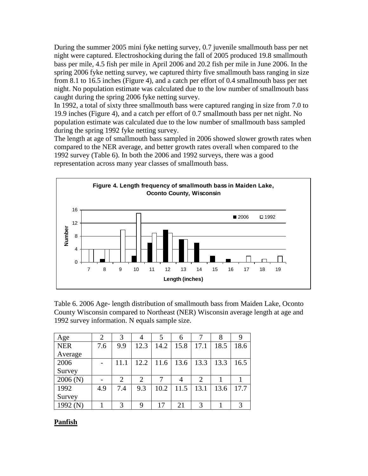During the summer 2005 mini fyke netting survey, 0.7 juvenile smallmouth bass per net night were captured. Electroshocking during the fall of 2005 produced 19.8 smallmouth bass per mile, 4.5 fish per mile in April 2006 and 20.2 fish per mile in June 2006. In the spring 2006 fyke netting survey, we captured thirty five smallmouth bass ranging in size from 8.1 to 16.5 inches (Figure 4), and a catch per effort of 0.4 smallmouth bass per net night. No population estimate was calculated due to the low number of smallmouth bass caught during the spring 2006 fyke netting survey.

In 1992, a total of sixty three smallmouth bass were captured ranging in size from 7.0 to 19.9 inches (Figure 4), and a catch per effort of 0.7 smallmouth bass per net night. No population estimate was calculated due to the low number of smallmouth bass sampled during the spring 1992 fyke netting survey.

The length at age of smallmouth bass sampled in 2006 showed slower growth rates when compared to the NER average, and better growth rates overall when compared to the 1992 survey (Table 6). In both the 2006 and 1992 surveys, there was a good representation across many year classes of smallmouth bass.



Table 6. 2006 Age- length distribution of smallmouth bass from Maiden Lake, Oconto County Wisconsin compared to Northeast (NER) Wisconsin average length at age and 1992 survey information. N equals sample size.

| Age        | 2   | 3              |                | 5    | 6    |                | 8    |      |
|------------|-----|----------------|----------------|------|------|----------------|------|------|
| <b>NER</b> | 7.6 | 9.9            | 12.3           | 14.2 | 15.8 | 17.1           | 18.5 | 18.6 |
| Average    |     |                |                |      |      |                |      |      |
| 2006       |     | 11.1           | 12.2           | 11.6 | 13.6 | 13.3           | 13.3 | 16.5 |
| Survey     |     |                |                |      |      |                |      |      |
| 2006(N)    |     | $\overline{2}$ | $\overline{2}$ | 7    |      | $\overline{2}$ |      |      |
| 1992       | 4.9 | 7.4            | 9.3            | 10.2 | 11.5 | 13.1           | 13.6 | 17.7 |
| Survey     |     |                |                |      |      |                |      |      |
| 1992 (N)   |     | 3              | 9              | 17   | 21   | 3              |      |      |

## **Panfish**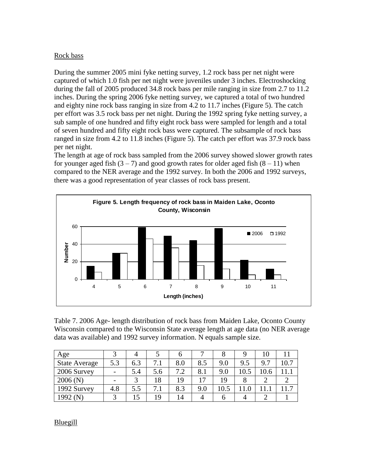### Rock bass

During the summer 2005 mini fyke netting survey, 1.2 rock bass per net night were captured of which 1.0 fish per net night were juveniles under 3 inches. Electroshocking during the fall of 2005 produced 34.8 rock bass per mile ranging in size from 2.7 to 11.2 inches. During the spring 2006 fyke netting survey, we captured a total of two hundred and eighty nine rock bass ranging in size from 4.2 to 11.7 inches (Figure 5). The catch per effort was 3.5 rock bass per net night. During the 1992 spring fyke netting survey, a sub sample of one hundred and fifty eight rock bass were sampled for length and a total of seven hundred and fifty eight rock bass were captured. The subsample of rock bass ranged in size from 4.2 to 11.8 inches (Figure 5). The catch per effort was 37.9 rock bass per net night.

The length at age of rock bass sampled from the 2006 survey showed slower growth rates for younger aged fish  $(3 - 7)$  and good growth rates for older aged fish  $(8 - 11)$  when compared to the NER average and the 1992 survey. In both the 2006 and 1992 surveys, there was a good representation of year classes of rock bass present.



Table 7. 2006 Age- length distribution of rock bass from Maiden Lake, Oconto County Wisconsin compared to the Wisconsin State average length at age data (no NER average data was available) and 1992 survey information. N equals sample size.

| Age                  |                          |     |     |           |            |      |      | 10   |                |
|----------------------|--------------------------|-----|-----|-----------|------------|------|------|------|----------------|
| <b>State Average</b> | 5.3                      | 6.3 | 7.1 | 8.0       | 8.5        | 9.0  | 9.5  | 9.7  |                |
| 2006 Survey          | $\overline{\phantom{0}}$ | 5.4 | 5.6 | 79<br>. 4 | 8.1        | 9.0  | 10.5 | 10.6 |                |
| 2006(N)              | $\overline{\phantom{0}}$ |     | 18  | 19        | $\sqrt{7}$ | 19   |      |      |                |
| 1992 Survey          | 4.8                      | 5.5 | 7.1 | 8.3       | 9.0        | 10.5 |      |      | $\overline{ }$ |
| 1992 $(N)$           | ⌒                        |     | 19  | 14        |            |      |      |      |                |

**Bluegill**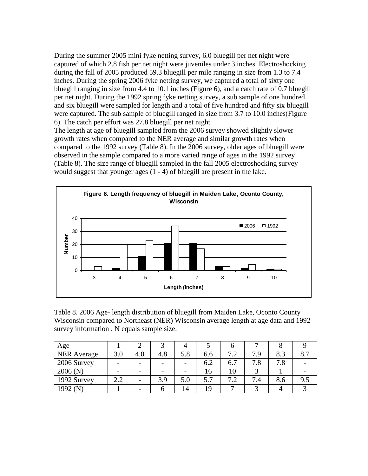During the summer 2005 mini fyke netting survey, 6.0 bluegill per net night were captured of which 2.8 fish per net night were juveniles under 3 inches. Electroshocking during the fall of 2005 produced 59.3 bluegill per mile ranging in size from 1.3 to 7.4 inches. During the spring 2006 fyke netting survey, we captured a total of sixty one bluegill ranging in size from 4.4 to 10.1 inches (Figure 6), and a catch rate of 0.7 bluegill per net night. During the 1992 spring fyke netting survey, a sub sample of one hundred and six bluegill were sampled for length and a total of five hundred and fifty six bluegill were captured. The sub sample of bluegill ranged in size from 3.7 to 10.0 inches(Figure 6). The catch per effort was 27.8 bluegill per net night.

The length at age of bluegill sampled from the 2006 survey showed slightly slower growth rates when compared to the NER average and similar growth rates when compared to the 1992 survey (Table 8). In the 2006 survey, older ages of bluegill were observed in the sample compared to a more varied range of ages in the 1992 survey (Table 8). The size range of bluegill sampled in the fall 2005 electroshocking survey would suggest that younger ages (1 - 4) of bluegill are present in the lake.



Table 8. 2006 Age- length distribution of bluegill from Maiden Lake, Oconto County Wisconsin compared to Northeast (NER) Wisconsin average length at age data and 1992 survey information . N equals sample size.

| Age                |                          |                          |                          |                          |     |                          |          |     |     |
|--------------------|--------------------------|--------------------------|--------------------------|--------------------------|-----|--------------------------|----------|-----|-----|
| <b>NER Average</b> | 3.0                      | 4.0                      | 4.8                      | 5.8                      | 6.6 | 72<br>$\cdot$            | 7.9      | 8.3 | 8.7 |
| 2006 Survey        | $\overline{\phantom{0}}$ | $\overline{\phantom{0}}$ | $\overline{\phantom{0}}$ | $\overline{\phantom{0}}$ | 6.2 | 6.7                      | 7.8      | 7.8 |     |
| 2006(N)            | $\overline{\phantom{0}}$ | $\overline{\phantom{0}}$ |                          | $\overline{\phantom{0}}$ | 16  | 10                       |          |     |     |
| 1992 Survey        | 2.2                      | -                        | 3.9                      | 5.0                      | 5.7 | 72                       | ⇁<br>7.4 | 8.6 | 9.5 |
| 1992 (N            |                          | -                        |                          | 14                       | 19  | $\overline{\phantom{0}}$ |          |     |     |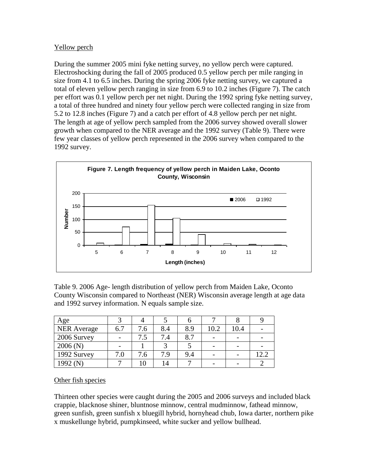### Yellow perch

During the summer 2005 mini fyke netting survey, no yellow perch were captured. Electroshocking during the fall of 2005 produced 0.5 yellow perch per mile ranging in size from 4.1 to 6.5 inches. During the spring 2006 fyke netting survey, we captured a total of eleven yellow perch ranging in size from 6.9 to 10.2 inches (Figure 7). The catch per effort was 0.1 yellow perch per net night. During the 1992 spring fyke netting survey, a total of three hundred and ninety four yellow perch were collected ranging in size from 5.2 to 12.8 inches (Figure 7) and a catch per effort of 4.8 yellow perch per net night. The length at age of yellow perch sampled from the 2006 survey showed overall slower growth when compared to the NER average and the 1992 survey (Table 9). There were few year classes of yellow perch represented in the 2006 survey when compared to the 1992 survey.



Table 9. 2006 Age- length distribution of yellow perch from Maiden Lake, Oconto County Wisconsin compared to Northeast (NER) Wisconsin average length at age data and 1992 survey information. N equals sample size.

| Age                |     |     |     |     |      |      |      |
|--------------------|-----|-----|-----|-----|------|------|------|
| <b>NER Average</b> | 6.7 | 7.6 | 8.4 | 8.9 | 10.2 | 10.4 |      |
| 2006 Survey        |     | 7.5 | 7.4 | 8.7 |      |      |      |
| 2006(N)            |     |     |     |     |      |      |      |
| 1992 Survey        | 7.0 | 7.6 | 7.9 | 9.4 |      |      | 12.2 |
| 1992 (N)           |     | 10  | 14  |     |      |      |      |

#### Other fish species

Thirteen other species were caught during the 2005 and 2006 surveys and included black crappie, blacknose shiner, bluntnose minnow, central mudminnow, fathead minnow, green sunfish, green sunfish x bluegill hybrid, hornyhead chub, Iowa darter, northern pike x muskellunge hybrid, pumpkinseed, white sucker and yellow bullhead.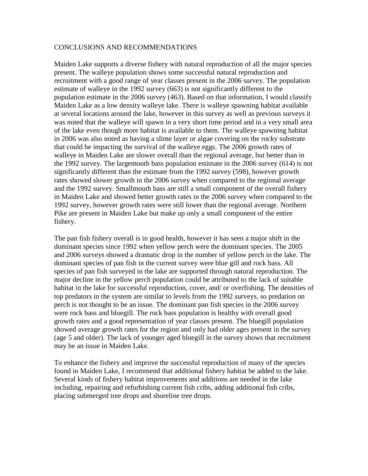#### CONCLUSIONS AND RECOMMENDATIONS

Maiden Lake supports a diverse fishery with natural reproduction of all the major species present. The walleye population shows some successful natural reproduction and recruitment with a good range of year classes present in the 2006 survey. The population estimate of walleye in the 1992 survey (663) is not significantly different to the population estimate in the 2006 survey (463). Based on that information, I would classify Maiden Lake as a low density walleye lake. There is walleye spawning habitat available at several locations around the lake, however in this survey as well as previous surveys it was noted that the walleye will spawn in a very short time period and in a very small area of the lake even though more habitat is available to them. The walleye spawning habitat in 2006 was also noted as having a slime layer or algae covering on the rocky substrate that could be impacting the survival of the walleye eggs. The 2006 growth rates of walleye in Maiden Lake are slower overall than the regional average, but better than in the 1992 survey. The largemouth bass population estimate in the 2006 survey (614) is not significantly different than the estimate from the 1992 survey (598), however growth rates showed slower growth in the 2006 survey when compared to the regional average and the 1992 survey. Smallmouth bass are still a small component of the overall fishery in Maiden Lake and showed better growth rates in the 2006 survey when compared to the 1992 survey, however growth rates were still lower than the regional average. Northern Pike are present in Maiden Lake but make up only a small component of the entire fishery.

The pan fish fishery overall is in good health, however it has seen a major shift in the dominant species since 1992 when yellow perch were the dominant species. The 2005 and 2006 surveys showed a dramatic drop in the number of yellow perch in the lake. The dominant species of pan fish in the current survey were blue gill and rock bass. All species of pan fish surveyed in the lake are supported through natural reproduction. The major decline in the yellow perch population could be attributed to the lack of suitable habitat in the lake for successful reproduction, cover, and/ or overfishing. The densities of top predators in the system are similar to levels from the 1992 surveys, so predation on perch is not thought to be an issue. The dominant pan fish species in the 2006 survey were rock bass and bluegill. The rock bass population is healthy with overall good growth rates and a good representation of year classes present. The bluegill population showed average growth rates for the region and only had older ages present in the survey (age 5 and older). The lack of younger aged bluegill in the survey shows that recruitment may be an issue in Maiden Lake.

To enhance the fishery and improve the successful reproduction of many of the species found in Maiden Lake, I recommend that additional fishery habitat be added to the lake. Several kinds of fishery habitat improvements and additions are needed in the lake including, repairing and refurbishing current fish cribs, adding additional fish cribs, placing submerged tree drops and shoreline tree drops.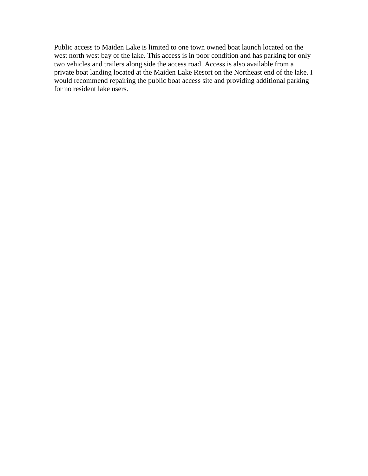Public access to Maiden Lake is limited to one town owned boat launch located on the west north west bay of the lake. This access is in poor condition and has parking for only two vehicles and trailers along side the access road. Access is also available from a private boat landing located at the Maiden Lake Resort on the Northeast end of the lake. I would recommend repairing the public boat access site and providing additional parking for no resident lake users.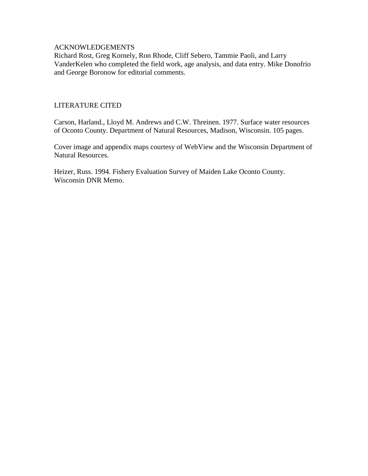### ACKNOWLEDGEMENTS

Richard Rost, Greg Kornely, Ron Rhode, Cliff Sebero, Tammie Paoli, and Larry VanderKelen who completed the field work, age analysis, and data entry. Mike Donofrio and George Boronow for editorial comments.

### LITERATURE CITED

Carson, Harland., Lloyd M. Andrews and C.W. Threinen. 1977. Surface water resources of Oconto County. Department of Natural Resources, Madison, Wisconsin. 105 pages.

Cover image and appendix maps courtesy of WebView and the Wisconsin Department of Natural Resources.

Heizer, Russ. 1994. Fishery Evaluation Survey of Maiden Lake Oconto County. Wisconsin DNR Memo.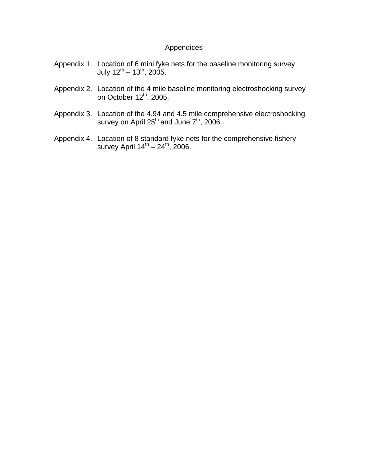# Appendices

- Appendix 1. Location of 6 mini fyke nets for the baseline monitoring survey July 12<sup>th</sup> – 13<sup>th</sup>, 2005.
- Appendix 2. Location of the 4 mile baseline monitoring electroshocking survey on October 12<sup>th</sup>, 2005.
- Appendix 3. Location of the 4.94 and 4**.**5 mile comprehensive electroshocking survey on April 25<sup>th</sup> and June 7<sup>th</sup>, 2006..
- Appendix 4. Location of 8 standard fyke nets for the comprehensive fishery survey April 14<sup>th</sup> – 24<sup>th</sup>, 2006.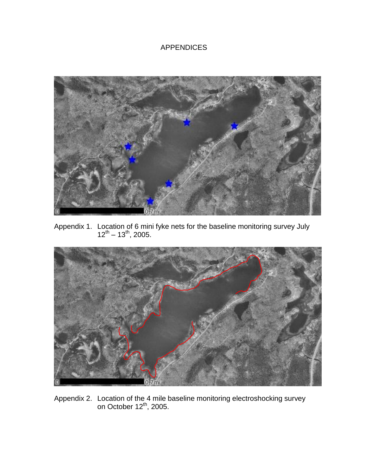# APPENDICES



Appendix 1. Location of 6 mini fyke nets for the baseline monitoring survey July  $12^{th} - 13^{th}$ , 2005.



Appendix 2. Location of the 4 mile baseline monitoring electroshocking survey on October 12<sup>th</sup>, 2005.